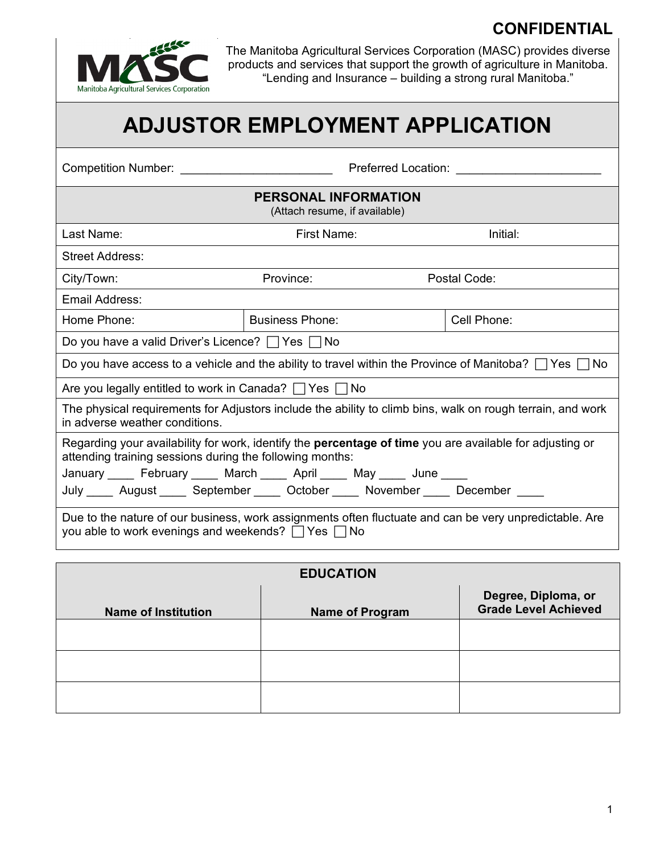## **CONFIDENTIAL**



The Manitoba Agricultural Services Corporation (MASC) provides diverse products and services that support the growth of agriculture in Manitoba. "Lending and Insurance – building a strong rural Manitoba."

# **ADJUSTOR EMPLOYMENT APPLICATION**

| <b>Competition Number:</b> And The Competition Number:                                                                                                                      | Preferred Location:                                                                   |             |  |  |  |  |  |
|-----------------------------------------------------------------------------------------------------------------------------------------------------------------------------|---------------------------------------------------------------------------------------|-------------|--|--|--|--|--|
| <b>PERSONAL INFORMATION</b><br>(Attach resume, if available)                                                                                                                |                                                                                       |             |  |  |  |  |  |
| Last Name:                                                                                                                                                                  | First Name:                                                                           | Initial:    |  |  |  |  |  |
| <b>Street Address:</b>                                                                                                                                                      |                                                                                       |             |  |  |  |  |  |
| City/Town:                                                                                                                                                                  | Province:<br>Postal Code:                                                             |             |  |  |  |  |  |
| Email Address:                                                                                                                                                              |                                                                                       |             |  |  |  |  |  |
| Home Phone:                                                                                                                                                                 | <b>Business Phone:</b>                                                                | Cell Phone: |  |  |  |  |  |
| Do you have a valid Driver's Licence? $\Box$ Yes $\Box$ No                                                                                                                  |                                                                                       |             |  |  |  |  |  |
| Do you have access to a vehicle and the ability to travel within the Province of Manitoba? $\Box$ Yes $\Box$ No                                                             |                                                                                       |             |  |  |  |  |  |
| Are you legally entitled to work in Canada? $\Box$ Yes $\Box$ No                                                                                                            |                                                                                       |             |  |  |  |  |  |
| The physical requirements for Adjustors include the ability to climb bins, walk on rough terrain, and work<br>in adverse weather conditions.                                |                                                                                       |             |  |  |  |  |  |
| Regarding your availability for work, identify the <b>percentage of time</b> you are available for adjusting or<br>attending training sessions during the following months: |                                                                                       |             |  |  |  |  |  |
|                                                                                                                                                                             | January _____ February _____ March _____ April _____ May _____ June ____              |             |  |  |  |  |  |
|                                                                                                                                                                             | July _____ August ______ September ______ October _____ November _____ December _____ |             |  |  |  |  |  |
| Due to the nature of our business, work assignments often fluctuate and can be very unpredictable. Are<br>you able to work evenings and weekends? $\Box$ Yes $\Box$ No      |                                                                                       |             |  |  |  |  |  |

| <b>EDUCATION</b>           |                        |                                                    |  |  |  |
|----------------------------|------------------------|----------------------------------------------------|--|--|--|
| <b>Name of Institution</b> | <b>Name of Program</b> | Degree, Diploma, or<br><b>Grade Level Achieved</b> |  |  |  |
|                            |                        |                                                    |  |  |  |
|                            |                        |                                                    |  |  |  |
|                            |                        |                                                    |  |  |  |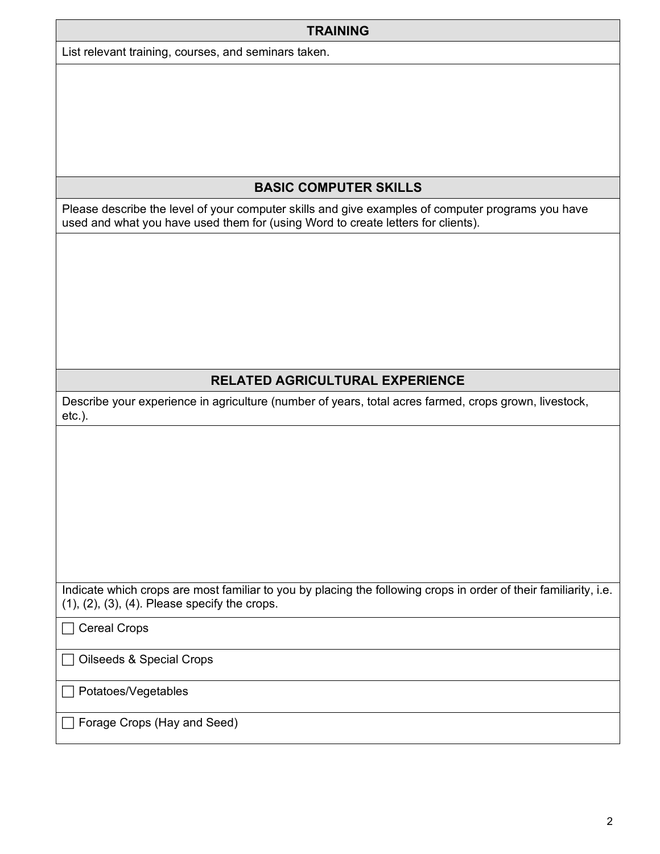| <b>TRAINING</b> |  |
|-----------------|--|
|-----------------|--|

List relevant training, courses, and seminars taken.

#### **BASIC COMPUTER SKILLS**

Please describe the level of your computer skills and give examples of computer programs you have used and what you have used them for (using Word to create letters for clients).

### **RELATED AGRICULTURAL EXPERIENCE**

Describe your experience in agriculture (number of years, total acres farmed, crops grown, livestock, etc.).

Indicate which crops are most familiar to you by placing the following crops in order of their familiarity, i.e. (1), (2), (3), (4). Please specify the crops.

 $\Box$  Cereal Crops

Oilseeds & Special Crops

□ Potatoes/Vegetables

Forage Crops (Hay and Seed)